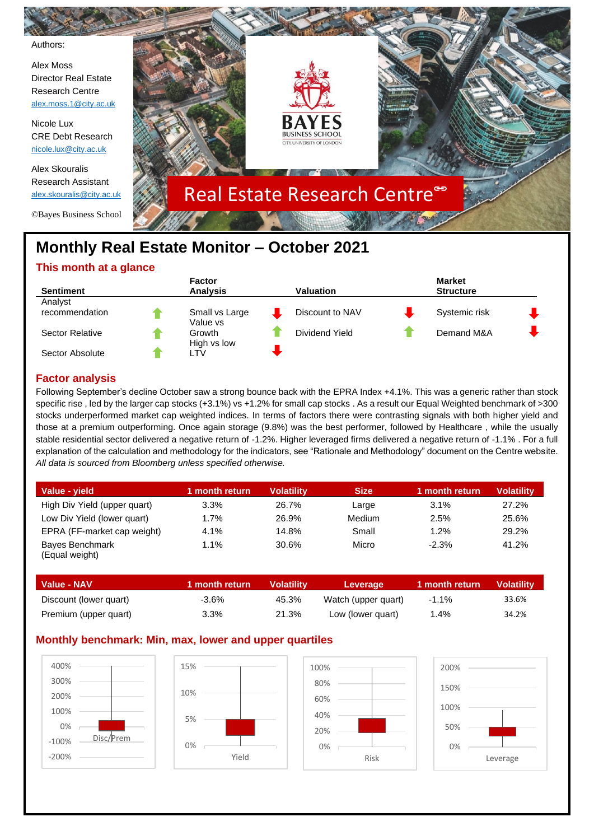

# **This month at a glance**

|                 | <b>Factor</b>              |                  | <b>Market</b>    |  |
|-----------------|----------------------------|------------------|------------------|--|
| Sentiment       | <b>Analysis</b>            | <b>Valuation</b> | <b>Structure</b> |  |
| Analyst         |                            |                  |                  |  |
| recommendation  | Small vs Large<br>Value vs | Discount to NAV  | Systemic risk    |  |
| Sector Relative | Growth<br>High vs low      | Dividend Yield   | Demand M&A       |  |
| Sector Absolute | ∟TV                        |                  |                  |  |

## **Factor analysis**

Following September's decline October saw a strong bounce back with the EPRA Index +4.1%. This was a generic rather than stock specific rise , led by the larger cap stocks (+3.1%) vs +1.2% for small cap stocks . As a result our Equal Weighted benchmark of >300 stocks underperformed market cap weighted indices. In terms of factors there were contrasting signals with both higher yield and those at a premium outperforming. Once again storage (9.8%) was the best performer, followed by Healthcare , while the usually stable residential sector delivered a negative return of -1.2%. Higher leveraged firms delivered a negative return of -1.1% . For a full explanation of the calculation and methodology for the indicators, see "Rationale and Methodology" document on the Centre website. *All data is sourced from Bloomberg unless specified otherwise.*

| Value - vield                            | 1 month return | Volatilitv | <b>Size</b> | 1 month return | <b>Volatility</b> |
|------------------------------------------|----------------|------------|-------------|----------------|-------------------|
| High Div Yield (upper quart)             | 3.3%           | 26.7%      | Large       | 3.1%           | 27.2%             |
| Low Div Yield (lower quart)              | 1.7%           | 26.9%      | Medium      | 2.5%           | 25.6%             |
| EPRA (FF-market cap weight)              | 4.1%           | 14.8%      | Small       | 1.2%           | 29.2%             |
| <b>Bayes Benchmark</b><br>(Equal weight) | 1.1%           | 30.6%      | Micro       | $-2.3%$        | 41.2%             |

| <b>Value - NAV</b>     | 1 month return | Volatilitv | Leverage            | 1 month return | <b>Volatility</b> |
|------------------------|----------------|------------|---------------------|----------------|-------------------|
| Discount (lower quart) | -3.6%          | 45.3%      | Watch (upper quart) | $-1.1\%$       | 33.6%             |
| Premium (upper quart)  | 3.3%           | 21.3%      | Low (lower quart)   | l.4%           | 34.2%             |

### **Monthly benchmark: Min, max, lower and upper quartiles**

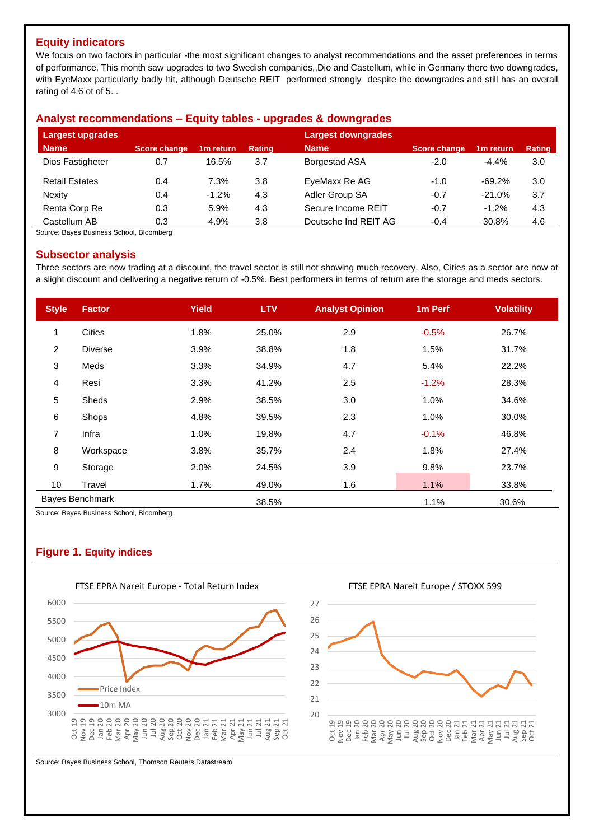### **Equity indicators**

We focus on two factors in particular -the most significant changes to analyst recommendations and the asset preferences in terms of performance. This month saw upgrades to two Swedish companies,,Dio and Castellum, while in Germany there two downgrades, with EyeMaxx particularly badly hit, although Deutsche REIT performed strongly despite the downgrades and still has an overall rating of 4.6 ot of 5. .

### **Analyst recommendations – Equity tables - upgrades & downgrades**

| Largest upgrades      |                     |                       |               | <b>Largest downgrades</b> |                     |                       |        |
|-----------------------|---------------------|-----------------------|---------------|---------------------------|---------------------|-----------------------|--------|
| <b>Name</b>           | <b>Score change</b> | 1 <sub>m</sub> return | <b>Rating</b> | <b>Name</b>               | <b>Score change</b> | 1 <sub>m</sub> return | Rating |
| Dios Fastigheter      | 0.7                 | 16.5%                 | 3.7           | <b>Borgestad ASA</b>      | $-2.0$              | $-4.4%$               | 3.0    |
| <b>Retail Estates</b> | 0.4                 | 7.3%                  | 3.8           | EyeMaxx Re AG             | $-1.0$              | $-69.2%$              | 3.0    |
| Nexity                | 0.4                 | $-1.2%$               | 4.3           | Adler Group SA            | $-0.7$              | $-21.0%$              | 3.7    |
| Renta Corp Re         | 0.3                 | 5.9%                  | 4.3           | Secure Income REIT        | $-0.7$              | $-1.2%$               | 4.3    |
| Castellum AB          | 0.3                 | 4.9%                  | 3.8           | Deutsche Ind REIT AG      | $-0.4$              | 30.8%                 | 4.6    |

Source: Bayes Business School, Bloomberg

### **Subsector analysis**

Three sectors are now trading at a discount, the travel sector is still not showing much recovery. Also, Cities as a sector are now at a slight discount and delivering a negative return of -0.5%. Best performers in terms of return are the storage and meds sectors.

| <b>Style</b>   | <b>Factor</b>          | <b>Yield</b> | <b>LTV</b> | <b>Analyst Opinion</b> | 1 <sub>m</sub> Perf | <b>Volatility</b> |
|----------------|------------------------|--------------|------------|------------------------|---------------------|-------------------|
| 1              | Cities                 | 1.8%         | 25.0%      | 2.9                    | $-0.5%$             | 26.7%             |
| $\overline{2}$ | <b>Diverse</b>         | 3.9%         | 38.8%      | 1.8                    | 1.5%                | 31.7%             |
| 3              | Meds                   | 3.3%         | 34.9%      | 4.7                    | 5.4%                | 22.2%             |
| 4              | Resi                   | 3.3%         | 41.2%      | 2.5                    | $-1.2%$             | 28.3%             |
| 5              | Sheds                  | 2.9%         | 38.5%      | 3.0                    | 1.0%                | 34.6%             |
| 6              | Shops                  | 4.8%         | 39.5%      | 2.3                    | 1.0%                | 30.0%             |
| 7              | Infra                  | 1.0%         | 19.8%      | 4.7                    | $-0.1%$             | 46.8%             |
| 8              | Workspace              | 3.8%         | 35.7%      | 2.4                    | 1.8%                | 27.4%             |
| 9              | Storage                | 2.0%         | 24.5%      | 3.9                    | 9.8%                | 23.7%             |
| 10             | Travel                 | 1.7%         | 49.0%      | 1.6                    | 1.1%                | 33.8%             |
|                | <b>Bayes Benchmark</b> |              | 38.5%      |                        | 1.1%                | 30.6%             |

Source: Bayes Business School, Bloomberg

## **Figure 1. Equity indices**



FTSE EPRA Nareit Europe / STOXX 599



Source: Bayes Business School, Thomson Reuters Datastream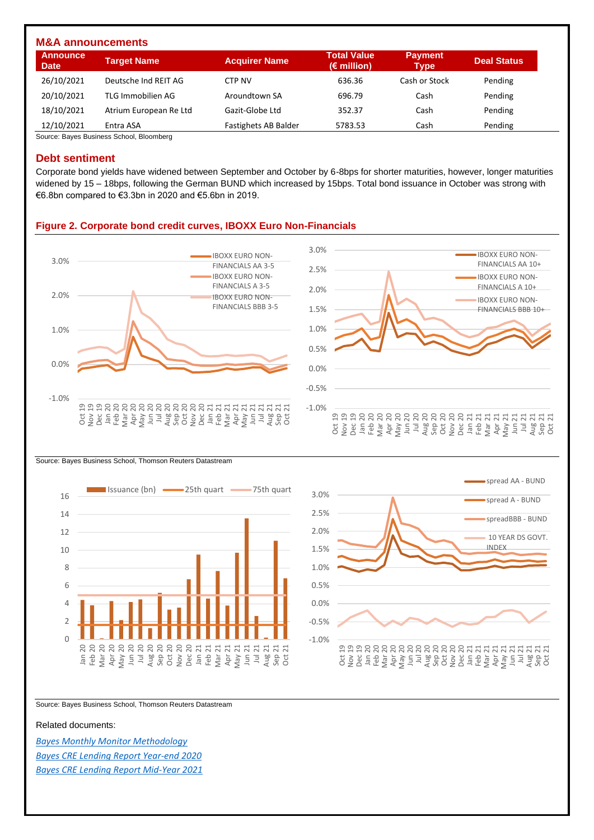| <b>M&amp;A announcements</b>   |                        |                             |                                            |                               |                    |  |  |  |  |  |
|--------------------------------|------------------------|-----------------------------|--------------------------------------------|-------------------------------|--------------------|--|--|--|--|--|
| <b>Announce</b><br><b>Date</b> | <b>Target Name</b>     | <b>Acquirer Name</b>        | <b>Total Value</b><br>$(\epsilon$ million) | <b>Payment</b><br><b>Type</b> | <b>Deal Status</b> |  |  |  |  |  |
| 26/10/2021                     | Deutsche Ind REIT AG   | CTP NV                      | 636.36                                     | Cash or Stock                 | Pending            |  |  |  |  |  |
| 20/10/2021                     | TLG Immobilien AG      | Aroundtown SA               | 696.79                                     | Cash                          | Pending            |  |  |  |  |  |
| 18/10/2021                     | Atrium European Re Ltd | Gazit-Globe Ltd             | 352.37                                     | Cash                          | Pending            |  |  |  |  |  |
| 12/10/2021                     | Entra ASA              | <b>Fastighets AB Balder</b> | 5783.53                                    | Cash                          | Pending            |  |  |  |  |  |

Source: Bayes Business School, Bloomberg

### **Debt sentiment**

Corporate bond yields have widened between September and October by 6-8bps for shorter maturities, however, longer maturities widened by 15 – 18bps, following the German BUND which increased by 15bps. Total bond issuance in October was strong with €6.8bn compared to €3.3bn in 2020 and €5.6bn in 2019.

### **Figure 2. Corporate bond credit curves, IBOXX Euro Non-Financials**







Source: Bayes Business School, Thomson Reuters Datastream

#### Related documents:

*[Bayes Monthly Monitor Methodology](https://www.bayes.city.ac.uk/__data/assets/pdf_file/0006/641157/bayes-market-monitor-methodology-document.pdf) [Bayes CRE Lending Report Year-end 2020](https://estore.city.ac.uk/product-catalogue/publications/publications/the-commercial-real-estate-lending-report-excel-data-package-yearend-2020) [Bayes CRE Lending Report Mid-Year 2021](https://estore.city.ac.uk/product-catalogue/publications/publications/the-commercial-real-estate-lending-report-excel-data-package-midyear-2021)*